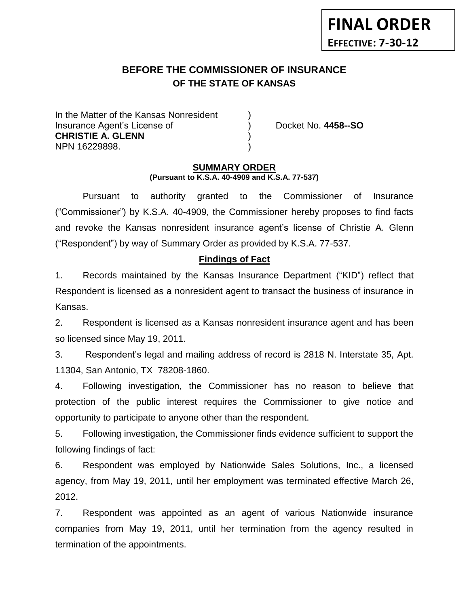# **BEFORE THE COMMISSIONER OF INSURANCE OF THE STATE OF KANSAS**

In the Matter of the Kansas Nonresident Insurance Agent's License of ) Docket No. **4458--SO CHRISTIE A. GLENN** ) NPN 16229898. )

### **SUMMARY ORDER (Pursuant to K.S.A. 40-4909 and K.S.A. 77-537)**

Pursuant to authority granted to the Commissioner of Insurance ("Commissioner") by K.S.A. 40-4909, the Commissioner hereby proposes to find facts and revoke the Kansas nonresident insurance agent's license of Christie A. Glenn ("Respondent") by way of Summary Order as provided by K.S.A. 77-537.

### **Findings of Fact**

1. Records maintained by the Kansas Insurance Department ("KID") reflect that Respondent is licensed as a nonresident agent to transact the business of insurance in Kansas.

2. Respondent is licensed as a Kansas nonresident insurance agent and has been so licensed since May 19, 2011.

3. Respondent's legal and mailing address of record is 2818 N. Interstate 35, Apt. 11304, San Antonio, TX 78208-1860.

4. Following investigation, the Commissioner has no reason to believe that protection of the public interest requires the Commissioner to give notice and opportunity to participate to anyone other than the respondent.

5. Following investigation, the Commissioner finds evidence sufficient to support the following findings of fact:

6. Respondent was employed by Nationwide Sales Solutions, Inc., a licensed agency, from May 19, 2011, until her employment was terminated effective March 26, 2012.

7. Respondent was appointed as an agent of various Nationwide insurance companies from May 19, 2011, until her termination from the agency resulted in termination of the appointments.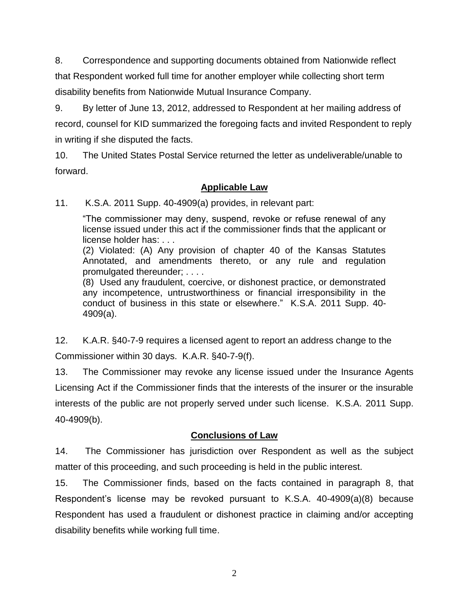8. Correspondence and supporting documents obtained from Nationwide reflect that Respondent worked full time for another employer while collecting short term disability benefits from Nationwide Mutual Insurance Company.

9. By letter of June 13, 2012, addressed to Respondent at her mailing address of record, counsel for KID summarized the foregoing facts and invited Respondent to reply in writing if she disputed the facts.

10. The United States Postal Service returned the letter as undeliverable/unable to forward.

# **Applicable Law**

11. K.S.A. 2011 Supp. 40-4909(a) provides, in relevant part:

"The commissioner may deny, suspend, revoke or refuse renewal of any license issued under this act if the commissioner finds that the applicant or license holder has: . . .

(2) Violated: (A) Any provision of chapter 40 of the Kansas Statutes Annotated, and amendments thereto, or any rule and regulation promulgated thereunder; . . . .

(8) Used any fraudulent, coercive, or dishonest practice, or demonstrated any incompetence, untrustworthiness or financial irresponsibility in the conduct of business in this state or elsewhere." K.S.A. 2011 Supp. 40- 4909(a).

12. K.A.R. §40-7-9 requires a licensed agent to report an address change to the Commissioner within 30 days. K.A.R. §40-7-9(f).

13. The Commissioner may revoke any license issued under the Insurance Agents Licensing Act if the Commissioner finds that the interests of the insurer or the insurable interests of the public are not properly served under such license. K.S.A. 2011 Supp. 40-4909(b).

# **Conclusions of Law**

14. The Commissioner has jurisdiction over Respondent as well as the subject matter of this proceeding, and such proceeding is held in the public interest.

15. The Commissioner finds, based on the facts contained in paragraph 8, that Respondent's license may be revoked pursuant to K.S.A. 40-4909(a)(8) because Respondent has used a fraudulent or dishonest practice in claiming and/or accepting disability benefits while working full time.

2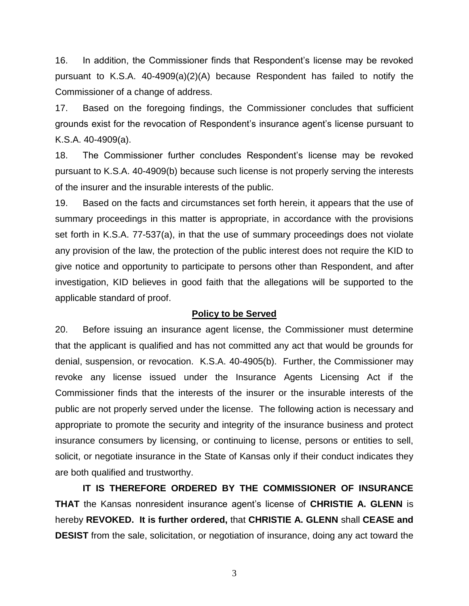16. In addition, the Commissioner finds that Respondent's license may be revoked pursuant to K.S.A. 40-4909(a)(2)(A) because Respondent has failed to notify the Commissioner of a change of address.

17. Based on the foregoing findings, the Commissioner concludes that sufficient grounds exist for the revocation of Respondent's insurance agent's license pursuant to K.S.A. 40-4909(a).

18. The Commissioner further concludes Respondent's license may be revoked pursuant to K.S.A. 40-4909(b) because such license is not properly serving the interests of the insurer and the insurable interests of the public.

19. Based on the facts and circumstances set forth herein, it appears that the use of summary proceedings in this matter is appropriate, in accordance with the provisions set forth in K.S.A. 77-537(a), in that the use of summary proceedings does not violate any provision of the law, the protection of the public interest does not require the KID to give notice and opportunity to participate to persons other than Respondent, and after investigation, KID believes in good faith that the allegations will be supported to the applicable standard of proof.

### **Policy to be Served**

20. Before issuing an insurance agent license, the Commissioner must determine that the applicant is qualified and has not committed any act that would be grounds for denial, suspension, or revocation. K.S.A. 40-4905(b). Further, the Commissioner may revoke any license issued under the Insurance Agents Licensing Act if the Commissioner finds that the interests of the insurer or the insurable interests of the public are not properly served under the license. The following action is necessary and appropriate to promote the security and integrity of the insurance business and protect insurance consumers by licensing, or continuing to license, persons or entities to sell, solicit, or negotiate insurance in the State of Kansas only if their conduct indicates they are both qualified and trustworthy.

**IT IS THEREFORE ORDERED BY THE COMMISSIONER OF INSURANCE THAT** the Kansas nonresident insurance agent's license of **CHRISTIE A. GLENN** is hereby **REVOKED. It is further ordered,** that **CHRISTIE A. GLENN** shall **CEASE and DESIST** from the sale, solicitation, or negotiation of insurance, doing any act toward the

3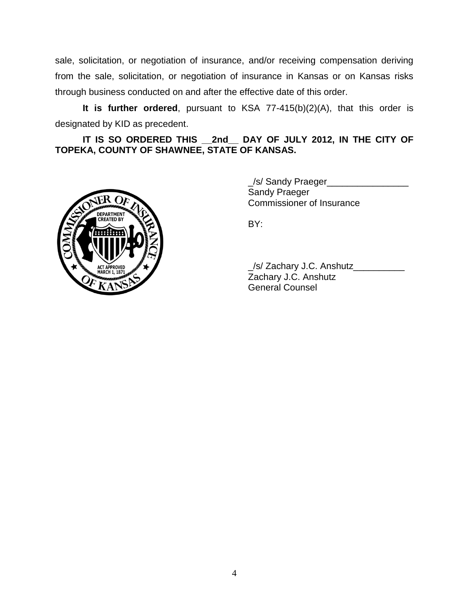sale, solicitation, or negotiation of insurance, and/or receiving compensation deriving from the sale, solicitation, or negotiation of insurance in Kansas or on Kansas risks through business conducted on and after the effective date of this order.

**It is further ordered**, pursuant to KSA 77-415(b)(2)(A), that this order is designated by KID as precedent.

**IT IS SO ORDERED THIS \_\_2nd\_\_ DAY OF JULY 2012, IN THE CITY OF TOPEKA, COUNTY OF SHAWNEE, STATE OF KANSAS.**



\_/s/ Sandy Praeger\_\_\_\_\_\_\_\_\_\_\_\_\_\_\_\_ Sandy Praeger Commissioner of Insurance

BY:

\_/s/ Zachary J.C. Anshutz\_\_\_\_\_\_\_\_\_\_ Zachary J.C. Anshutz General Counsel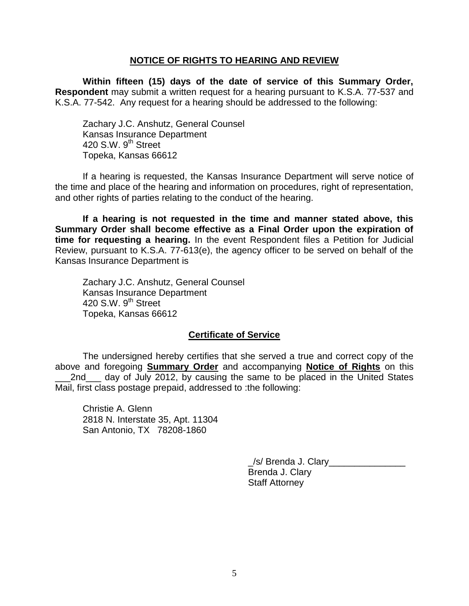### **NOTICE OF RIGHTS TO HEARING AND REVIEW**

**Within fifteen (15) days of the date of service of this Summary Order, Respondent** may submit a written request for a hearing pursuant to K.S.A. 77-537 and K.S.A. 77-542. Any request for a hearing should be addressed to the following:

Zachary J.C. Anshutz, General Counsel Kansas Insurance Department 420 S.W.  $9^{th}$  Street Topeka, Kansas 66612

If a hearing is requested, the Kansas Insurance Department will serve notice of the time and place of the hearing and information on procedures, right of representation, and other rights of parties relating to the conduct of the hearing.

**If a hearing is not requested in the time and manner stated above, this Summary Order shall become effective as a Final Order upon the expiration of time for requesting a hearing.** In the event Respondent files a Petition for Judicial Review, pursuant to K.S.A. 77-613(e), the agency officer to be served on behalf of the Kansas Insurance Department is

Zachary J.C. Anshutz, General Counsel Kansas Insurance Department  $420$  S.W.  $9<sup>th</sup>$  Street Topeka, Kansas 66612

### **Certificate of Service**

The undersigned hereby certifies that she served a true and correct copy of the above and foregoing **Summary Order** and accompanying **Notice of Rights** on this 2nd day of July 2012, by causing the same to be placed in the United States Mail, first class postage prepaid, addressed to :the following:

Christie A. Glenn 2818 N. Interstate 35, Apt. 11304 San Antonio, TX 78208-1860

> \_/s/ Brenda J. Clary\_\_\_\_\_\_\_\_\_\_\_\_\_\_\_ Brenda J. Clary Staff Attorney